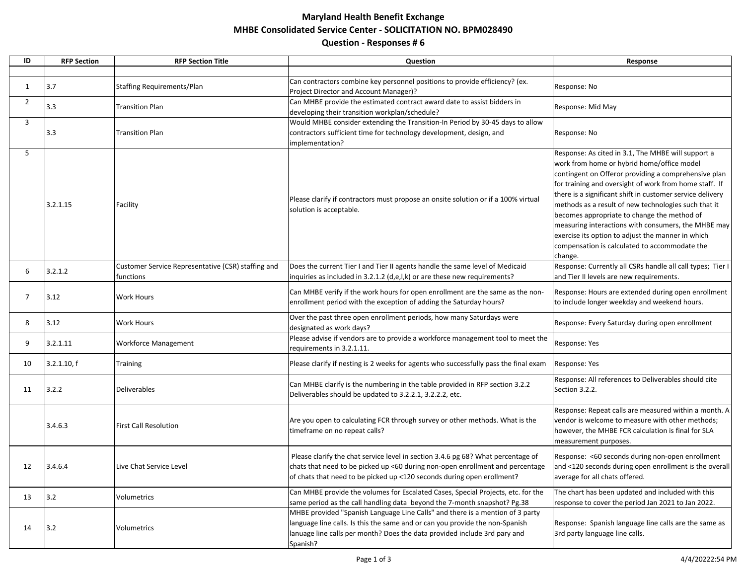## **Maryland Health Benefit Exchange MHBE Consolidated Service Center - SOLICITATION NO. BPM028490 Question - Responses # 6**

| ID             | <b>RFP Section</b> | <b>RFP Section Title</b>                                        | Question                                                                                                                                                                                                                                               | Response                                                                                                                                                                                                                                                                                                                                                                                                                                                                                                                                                       |
|----------------|--------------------|-----------------------------------------------------------------|--------------------------------------------------------------------------------------------------------------------------------------------------------------------------------------------------------------------------------------------------------|----------------------------------------------------------------------------------------------------------------------------------------------------------------------------------------------------------------------------------------------------------------------------------------------------------------------------------------------------------------------------------------------------------------------------------------------------------------------------------------------------------------------------------------------------------------|
|                |                    |                                                                 |                                                                                                                                                                                                                                                        |                                                                                                                                                                                                                                                                                                                                                                                                                                                                                                                                                                |
| 1              | 3.7                | <b>Staffing Requirements/Plan</b>                               | Can contractors combine key personnel positions to provide efficiency? (ex.<br>Project Director and Account Manager)?                                                                                                                                  | Response: No                                                                                                                                                                                                                                                                                                                                                                                                                                                                                                                                                   |
| $\overline{2}$ | 3.3                | <b>Transition Plan</b>                                          | Can MHBE provide the estimated contract award date to assist bidders in<br>developing their transition workplan/schedule?                                                                                                                              | Response: Mid May                                                                                                                                                                                                                                                                                                                                                                                                                                                                                                                                              |
| $\mathbf{3}$   | 3.3                | <b>Transition Plan</b>                                          | Would MHBE consider extending the Transition-In Period by 30-45 days to allow<br>contractors sufficient time for technology development, design, and<br>implementation?                                                                                | Response: No                                                                                                                                                                                                                                                                                                                                                                                                                                                                                                                                                   |
| 5              | 3.2.1.15           | Facility                                                        | Please clarify if contractors must propose an onsite solution or if a 100% virtual<br>solution is acceptable.                                                                                                                                          | Response: As cited in 3.1, The MHBE will support a<br>work from home or hybrid home/office model<br>contingent on Offeror providing a comprehensive plan<br>for training and oversight of work from home staff. If<br>there is a significant shift in customer service delivery<br>methods as a result of new technologies such that it<br>becomes appropriate to change the method of<br>measuring interactions with consumers, the MHBE may<br>exercise its option to adjust the manner in which<br>compensation is calculated to accommodate the<br>change. |
| 6              | 3.2.1.2            | Customer Service Representative (CSR) staffing and<br>functions | Does the current Tier I and Tier II agents handle the same level of Medicaid<br>inquiries as included in 3.2.1.2 (d,e,l,k) or are these new requirements?                                                                                              | Response: Currently all CSRs handle all call types; Tier I<br>and Tier II levels are new requirements.                                                                                                                                                                                                                                                                                                                                                                                                                                                         |
|                | 3.12               | <b>Work Hours</b>                                               | Can MHBE verify if the work hours for open enrollment are the same as the non-<br>enrollment period with the exception of adding the Saturday hours?                                                                                                   | Response: Hours are extended during open enrollment<br>to include longer weekday and weekend hours.                                                                                                                                                                                                                                                                                                                                                                                                                                                            |
| 8              | 3.12               | <b>Work Hours</b>                                               | Over the past three open enrollment periods, how many Saturdays were<br>designated as work days?                                                                                                                                                       | Response: Every Saturday during open enrollment                                                                                                                                                                                                                                                                                                                                                                                                                                                                                                                |
| 9              | 3.2.1.11           | <b>Workforce Management</b>                                     | Please advise if vendors are to provide a workforce management tool to meet the<br>requirements in 3.2.1.11.                                                                                                                                           | Response: Yes                                                                                                                                                                                                                                                                                                                                                                                                                                                                                                                                                  |
| 10             | 3.2.1.10, f        | <b>Training</b>                                                 | Please clarify if nesting is 2 weeks for agents who successfully pass the final exam                                                                                                                                                                   | Response: Yes                                                                                                                                                                                                                                                                                                                                                                                                                                                                                                                                                  |
| 11             | 3.2.2              | <b>Deliverables</b>                                             | Can MHBE clarify is the numbering in the table provided in RFP section 3.2.2<br>Deliverables should be updated to 3.2.2.1, 3.2.2.2, etc.                                                                                                               | Response: All references to Deliverables should cite<br>Section 3.2.2.                                                                                                                                                                                                                                                                                                                                                                                                                                                                                         |
|                | 3.4.6.3            | <b>First Call Resolution</b>                                    | Are you open to calculating FCR through survey or other methods. What is the<br>timeframe on no repeat calls?                                                                                                                                          | Response: Repeat calls are measured within a month. A<br>vendor is welcome to measure with other methods;<br>however, the MHBE FCR calculation is final for SLA<br>measurement purposes.                                                                                                                                                                                                                                                                                                                                                                       |
| 12             | 3.4.6.4            | Live Chat Service Level                                         | Please clarify the chat service level in section 3.4.6 pg 68? What percentage of<br>chats that need to be picked up <60 during non-open enrollment and percentage<br>of chats that need to be picked up <120 seconds during open erollment?            | Response: <60 seconds during non-open enrollment<br>and <120 seconds during open enrollment is the overall<br>average for all chats offered.                                                                                                                                                                                                                                                                                                                                                                                                                   |
| 13             | $3.2$              | Volumetrics                                                     | Can MHBE provide the volumes for Escalated Cases, Special Projects, etc. for the<br>same period as the call handling data beyond the 7-month snapshot? Pg.38                                                                                           | The chart has been updated and included with this<br>response to cover the period Jan 2021 to Jan 2022.                                                                                                                                                                                                                                                                                                                                                                                                                                                        |
| 14             | 3.2                | Volumetrics                                                     | MHBE provided "Spanish Language Line Calls" and there is a mention of 3 party<br>language line calls. Is this the same and or can you provide the non-Spanish<br>lanuage line calls per month? Does the data provided include 3rd pary and<br>Spanish? | Response: Spanish language line calls are the same as<br>3rd party language line calls.                                                                                                                                                                                                                                                                                                                                                                                                                                                                        |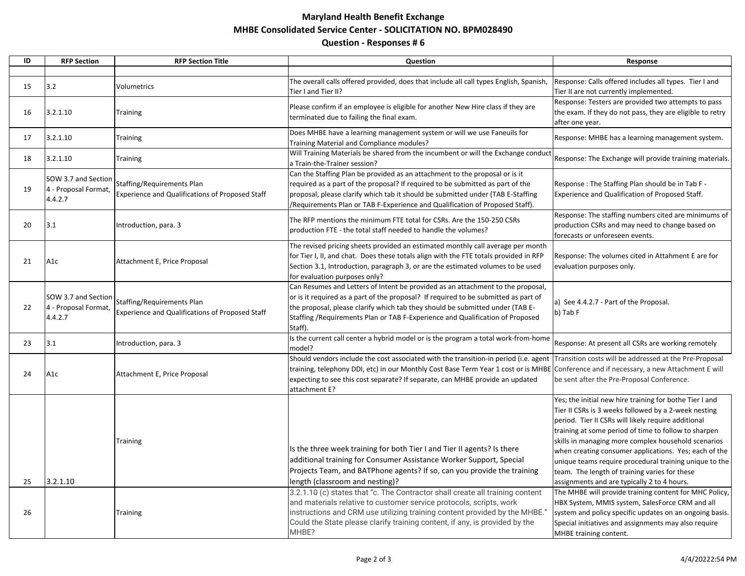## **Maryland Health Benefit Exchange MHBE Consolidated Service Center - SOLICITATION NO. BPM028490 Question - Responses # 6**

| ID | <b>RFP Section</b>                                     | <b>RFP Section Title</b>                                                             | Question                                                                                                                                                                                                                                                                                                                                                                                 | Response                                                                                                                                                                                                                                                                                                                                                                                                                                                                                                 |
|----|--------------------------------------------------------|--------------------------------------------------------------------------------------|------------------------------------------------------------------------------------------------------------------------------------------------------------------------------------------------------------------------------------------------------------------------------------------------------------------------------------------------------------------------------------------|----------------------------------------------------------------------------------------------------------------------------------------------------------------------------------------------------------------------------------------------------------------------------------------------------------------------------------------------------------------------------------------------------------------------------------------------------------------------------------------------------------|
|    |                                                        |                                                                                      |                                                                                                                                                                                                                                                                                                                                                                                          |                                                                                                                                                                                                                                                                                                                                                                                                                                                                                                          |
| 15 | 3.2                                                    | Volumetrics                                                                          | The overall calls offered provided, does that include all call types English, Spanish,<br>Tier I and Tier II?                                                                                                                                                                                                                                                                            | Response: Calls offered includes all types. Tier I and<br>Tier II are not currently implemented.                                                                                                                                                                                                                                                                                                                                                                                                         |
| 16 | 3.2.1.10                                               | <b>Training</b>                                                                      | Please confirm if an employee is eligible for another New Hire class if they are<br>terminated due to failing the final exam.                                                                                                                                                                                                                                                            | Response: Testers are provided two attempts to pass<br>the exam. If they do not pass, they are eligible to retry<br>after one year.                                                                                                                                                                                                                                                                                                                                                                      |
| 17 | 3.2.1.10                                               | <b>Training</b>                                                                      | Does MHBE have a learning management system or will we use Faneuils for<br>Training Material and Compliance modules?                                                                                                                                                                                                                                                                     | Response: MHBE has a learning management system.                                                                                                                                                                                                                                                                                                                                                                                                                                                         |
| 18 | 3.2.1.10                                               | <b>Training</b>                                                                      | Will Training Materials be shared from the incumbent or will the Exchange conduct<br>a Train-the-Trainer session?                                                                                                                                                                                                                                                                        | Response: The Exchange will provide training materials.                                                                                                                                                                                                                                                                                                                                                                                                                                                  |
| 19 | SOW 3.7 and Section<br>4 - Proposal Format,<br>4.4.2.7 | Staffing/Requirements Plan<br><b>Experience and Qualifications of Proposed Staff</b> | Can the Staffing Plan be provided as an attachment to the proposal or is it<br>required as a part of the proposal? If required to be submitted as part of the<br>proposal, please clarify which tab it should be submitted under (TAB E-Staffing<br>/Requirements Plan or TAB F-Experience and Qualification of Proposed Staff).                                                         | Response: The Staffing Plan should be in Tab F -<br>Experience and Qualification of Proposed Staff.                                                                                                                                                                                                                                                                                                                                                                                                      |
| 20 | 3.1                                                    | Introduction, para. 3                                                                | The RFP mentions the minimum FTE total for CSRs. Are the 150-250 CSRs<br>production FTE - the total staff needed to handle the volumes?                                                                                                                                                                                                                                                  | Response: The staffing numbers cited are minimums of<br>production CSRs and may need to change based on<br>forecasts or unforeseen events.                                                                                                                                                                                                                                                                                                                                                               |
| 21 | A <sub>1</sub> c                                       | Attachment E, Price Proposal                                                         | The revised pricing sheets provided an estimated monthly call average per month<br>for Tier I, II, and chat. Does these totals align with the FTE totals provided in RFP<br>Section 3.1, Introduction, paragraph 3, or are the estimated volumes to be used<br>for evaluation purposes only?                                                                                             | Response: The volumes cited in Attahment E are for<br>evaluation purposes only.                                                                                                                                                                                                                                                                                                                                                                                                                          |
| 22 | SOW 3.7 and Section<br>4 - Proposal Format,<br>4.4.2.7 | Staffing/Requirements Plan<br>Experience and Qualifications of Proposed Staff        | Can Resumes and Letters of Intent be provided as an attachment to the proposal,<br>or is it required as a part of the proposal? If required to be submitted as part of<br>the proposal, please clarify which tab they should be submitted under (TAB E-<br>Staffing / Requirements Plan or TAB F-Experience and Qualification of Proposed<br>Staff).                                     | a) See 4.4.2.7 - Part of the Proposal.<br>b) Tab F                                                                                                                                                                                                                                                                                                                                                                                                                                                       |
| 23 | 3.1                                                    | Introduction, para. 3                                                                | Is the current call center a hybrid model or is the program a total work-from-home<br>model?                                                                                                                                                                                                                                                                                             | Response: At present all CSRs are working remotely                                                                                                                                                                                                                                                                                                                                                                                                                                                       |
| 24 | A1c                                                    | Attachment E, Price Proposal                                                         | Should vendors include the cost associated with the transition-in period (i.e. agent Transition costs will be addressed at the Pre-Proposal<br>training, telephony DDI, etc) in our Monthly Cost Base Term Year 1 cost or is MHBE Conference and if necessary, a new Attachment E will<br>expecting to see this cost separate? If separate, can MHBE provide an updated<br>attachment E? | be sent after the Pre-Proposal Conference.                                                                                                                                                                                                                                                                                                                                                                                                                                                               |
| 25 | 3.2.1.10                                               | <b>Training</b>                                                                      | Is the three week training for both Tier I and Tier II agents? Is there<br>additional training for Consumer Assistance Worker Support, Special<br>Projects Team, and BATPhone agents? If so, can you provide the training<br>length (classroom and nesting)?                                                                                                                             | Yes; the initial new hire training for bothe Tier I and<br>Tier II CSRs is 3 weeks followed by a 2-week nesting<br>period. Tier II CSRs will likely require additional<br>training at some period of time to follow to sharpen<br>skills in managing more complex household scenarios<br>when creating consumer applications. Yes; each of the<br>unique teams require procedural training unique to the<br>team. The length of training varies for these<br>assignments and are typically 2 to 4 hours. |
| 26 |                                                        | <b>Training</b>                                                                      | 3.2.1.10 (c) states that "c. The Contractor shall create all training content<br>and materials relative to customer service protocols, scripts, work<br>instructions and CRM use utilizing training content provided by the MHBE."<br>Could the State please clarify training content, if any, is provided by the<br>MHBE?                                                               | The MHBE will provide training content for MHC Policy,<br>HBX System, MMIS system, SalesForce CRM and all<br>system and policy specific updates on an ongoing basis.<br>Special initiatives and assignments may also require<br>MHBE training content.                                                                                                                                                                                                                                                   |